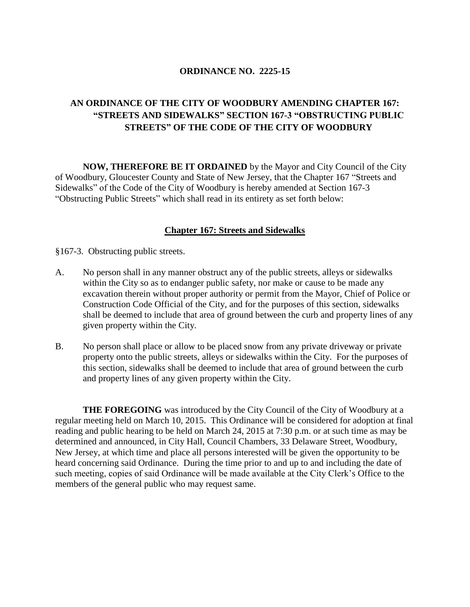### **ORDINANCE NO. 2225-15**

### **AN ORDINANCE OF THE CITY OF WOODBURY AMENDING CHAPTER 167: "STREETS AND SIDEWALKS" SECTION 167-3 "OBSTRUCTING PUBLIC STREETS" OF THE CODE OF THE CITY OF WOODBURY**

**NOW, THEREFORE BE IT ORDAINED** by the Mayor and City Council of the City of Woodbury, Gloucester County and State of New Jersey, that the Chapter 167 "Streets and Sidewalks" of the Code of the City of Woodbury is hereby amended at Section 167-3 "Obstructing Public Streets" which shall read in its entirety as set forth below:

#### **Chapter 167: Streets and Sidewalks**

§167-3. Obstructing public streets.

- A. No person shall in any manner obstruct any of the public streets, alleys or sidewalks within the City so as to endanger public safety, nor make or cause to be made any excavation therein without proper authority or permit from the Mayor, Chief of Police or Construction Code Official of the City, and for the purposes of this section, sidewalks shall be deemed to include that area of ground between the curb and property lines of any given property within the City.
- B. No person shall place or allow to be placed snow from any private driveway or private property onto the public streets, alleys or sidewalks within the City. For the purposes of this section, sidewalks shall be deemed to include that area of ground between the curb and property lines of any given property within the City.

**THE FOREGOING** was introduced by the City Council of the City of Woodbury at a regular meeting held on March 10, 2015. This Ordinance will be considered for adoption at final reading and public hearing to be held on March 24, 2015 at 7:30 p.m. or at such time as may be determined and announced, in City Hall, Council Chambers, 33 Delaware Street, Woodbury, New Jersey, at which time and place all persons interested will be given the opportunity to be heard concerning said Ordinance. During the time prior to and up to and including the date of such meeting, copies of said Ordinance will be made available at the City Clerk's Office to the members of the general public who may request same.